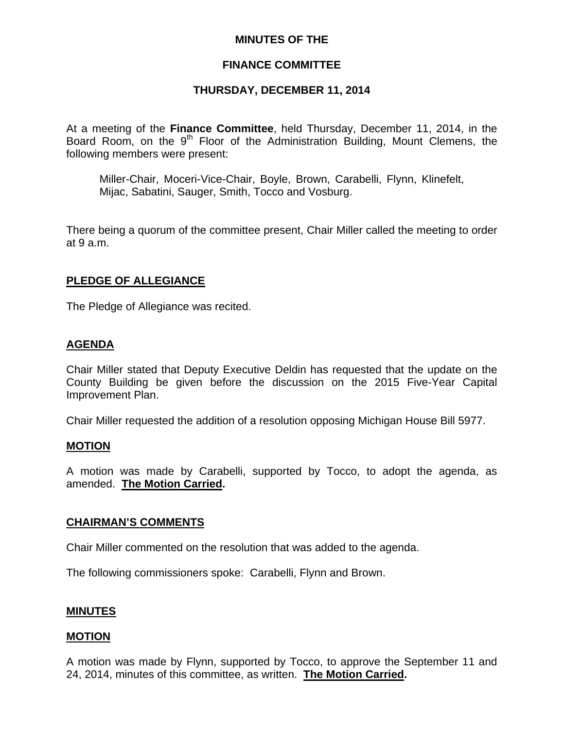### **MINUTES OF THE**

# **FINANCE COMMITTEE**

#### **THURSDAY, DECEMBER 11, 2014**

At a meeting of the **Finance Committee**, held Thursday, December 11, 2014, in the Board Room, on the 9<sup>th</sup> Floor of the Administration Building, Mount Clemens, the following members were present:

Miller-Chair, Moceri-Vice-Chair, Boyle, Brown, Carabelli, Flynn, Klinefelt, Mijac, Sabatini, Sauger, Smith, Tocco and Vosburg.

There being a quorum of the committee present, Chair Miller called the meeting to order at 9 a.m.

# **PLEDGE OF ALLEGIANCE**

The Pledge of Allegiance was recited.

#### **AGENDA**

Chair Miller stated that Deputy Executive Deldin has requested that the update on the County Building be given before the discussion on the 2015 Five-Year Capital Improvement Plan.

Chair Miller requested the addition of a resolution opposing Michigan House Bill 5977.

### **MOTION**

A motion was made by Carabelli, supported by Tocco, to adopt the agenda, as amended. **The Motion Carried.** 

#### **CHAIRMAN'S COMMENTS**

Chair Miller commented on the resolution that was added to the agenda.

The following commissioners spoke: Carabelli, Flynn and Brown.

#### **MINUTES**

#### **MOTION**

A motion was made by Flynn, supported by Tocco, to approve the September 11 and 24, 2014, minutes of this committee, as written. **The Motion Carried.**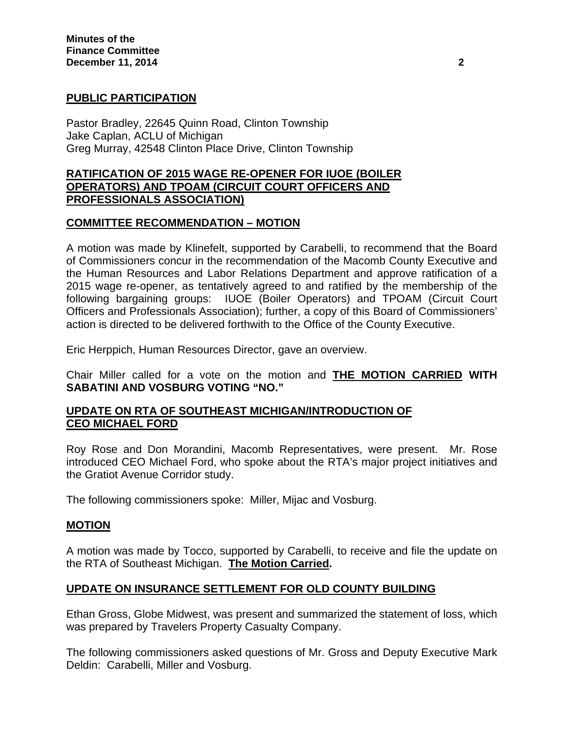### **PUBLIC PARTICIPATION**

Pastor Bradley, 22645 Quinn Road, Clinton Township Jake Caplan, ACLU of Michigan Greg Murray, 42548 Clinton Place Drive, Clinton Township

# **RATIFICATION OF 2015 WAGE RE-OPENER FOR IUOE (BOILER OPERATORS) AND TPOAM (CIRCUIT COURT OFFICERS AND PROFESSIONALS ASSOCIATION)**

#### **COMMITTEE RECOMMENDATION – MOTION**

A motion was made by Klinefelt, supported by Carabelli, to recommend that the Board of Commissioners concur in the recommendation of the Macomb County Executive and the Human Resources and Labor Relations Department and approve ratification of a 2015 wage re-opener, as tentatively agreed to and ratified by the membership of the following bargaining groups: IUOE (Boiler Operators) and TPOAM (Circuit Court Officers and Professionals Association); further, a copy of this Board of Commissioners' action is directed to be delivered forthwith to the Office of the County Executive.

Eric Herppich, Human Resources Director, gave an overview.

Chair Miller called for a vote on the motion and **THE MOTION CARRIED WITH SABATINI AND VOSBURG VOTING "NO."** 

#### **UPDATE ON RTA OF SOUTHEAST MICHIGAN/INTRODUCTION OF CEO MICHAEL FORD**

Roy Rose and Don Morandini, Macomb Representatives, were present. Mr. Rose introduced CEO Michael Ford, who spoke about the RTA's major project initiatives and the Gratiot Avenue Corridor study.

The following commissioners spoke: Miller, Mijac and Vosburg.

#### **MOTION**

A motion was made by Tocco, supported by Carabelli, to receive and file the update on the RTA of Southeast Michigan. **The Motion Carried.** 

#### **UPDATE ON INSURANCE SETTLEMENT FOR OLD COUNTY BUILDING**

Ethan Gross, Globe Midwest, was present and summarized the statement of loss, which was prepared by Travelers Property Casualty Company.

The following commissioners asked questions of Mr. Gross and Deputy Executive Mark Deldin: Carabelli, Miller and Vosburg.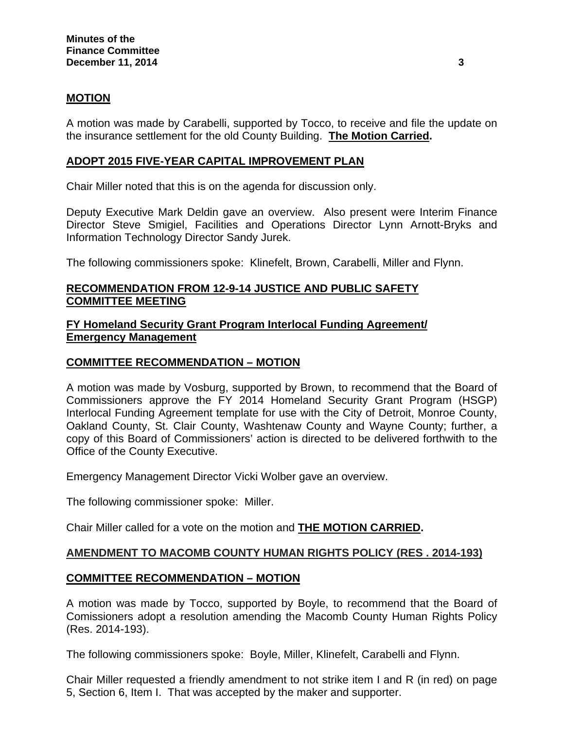# **MOTION**

A motion was made by Carabelli, supported by Tocco, to receive and file the update on the insurance settlement for the old County Building. **The Motion Carried.** 

# **ADOPT 2015 FIVE-YEAR CAPITAL IMPROVEMENT PLAN**

Chair Miller noted that this is on the agenda for discussion only.

Deputy Executive Mark Deldin gave an overview. Also present were Interim Finance Director Steve Smigiel, Facilities and Operations Director Lynn Arnott-Bryks and Information Technology Director Sandy Jurek.

The following commissioners spoke: Klinefelt, Brown, Carabelli, Miller and Flynn.

# **RECOMMENDATION FROM 12-9-14 JUSTICE AND PUBLIC SAFETY COMMITTEE MEETING**

#### **FY Homeland Security Grant Program Interlocal Funding Agreement/ Emergency Management**

### **COMMITTEE RECOMMENDATION – MOTION**

A motion was made by Vosburg, supported by Brown, to recommend that the Board of Commissioners approve the FY 2014 Homeland Security Grant Program (HSGP) Interlocal Funding Agreement template for use with the City of Detroit, Monroe County, Oakland County, St. Clair County, Washtenaw County and Wayne County; further, a copy of this Board of Commissioners' action is directed to be delivered forthwith to the Office of the County Executive.

Emergency Management Director Vicki Wolber gave an overview.

The following commissioner spoke: Miller.

Chair Miller called for a vote on the motion and **THE MOTION CARRIED.**

# **AMENDMENT TO MACOMB COUNTY HUMAN RIGHTS POLICY (RES . 2014-193)**

#### **COMMITTEE RECOMMENDATION – MOTION**

A motion was made by Tocco, supported by Boyle, to recommend that the Board of Comissioners adopt a resolution amending the Macomb County Human Rights Policy (Res. 2014-193).

The following commissioners spoke: Boyle, Miller, Klinefelt, Carabelli and Flynn.

Chair Miller requested a friendly amendment to not strike item I and R (in red) on page 5, Section 6, Item I. That was accepted by the maker and supporter.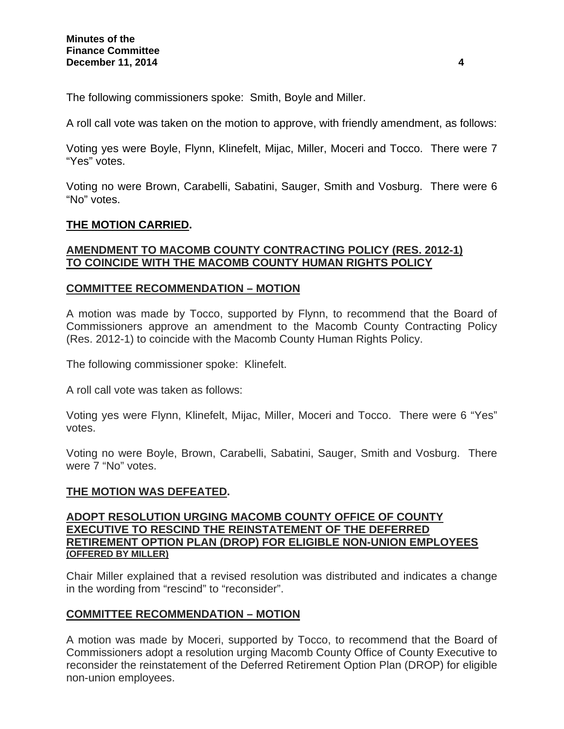The following commissioners spoke: Smith, Boyle and Miller.

A roll call vote was taken on the motion to approve, with friendly amendment, as follows:

Voting yes were Boyle, Flynn, Klinefelt, Mijac, Miller, Moceri and Tocco. There were 7 "Yes" votes.

Voting no were Brown, Carabelli, Sabatini, Sauger, Smith and Vosburg. There were 6 "No" votes.

#### **THE MOTION CARRIED.**

#### **AMENDMENT TO MACOMB COUNTY CONTRACTING POLICY (RES. 2012-1) TO COINCIDE WITH THE MACOMB COUNTY HUMAN RIGHTS POLICY**

#### **COMMITTEE RECOMMENDATION – MOTION**

A motion was made by Tocco, supported by Flynn, to recommend that the Board of Commissioners approve an amendment to the Macomb County Contracting Policy (Res. 2012-1) to coincide with the Macomb County Human Rights Policy.

The following commissioner spoke: Klinefelt.

A roll call vote was taken as follows:

Voting yes were Flynn, Klinefelt, Mijac, Miller, Moceri and Tocco. There were 6 "Yes" votes.

Voting no were Boyle, Brown, Carabelli, Sabatini, Sauger, Smith and Vosburg. There were 7 "No" votes.

#### **THE MOTION WAS DEFEATED.**

#### **ADOPT RESOLUTION URGING MACOMB COUNTY OFFICE OF COUNTY EXECUTIVE TO RESCIND THE REINSTATEMENT OF THE DEFERRED RETIREMENT OPTION PLAN (DROP) FOR ELIGIBLE NON-UNION EMPLOYEES (OFFERED BY MILLER)**

Chair Miller explained that a revised resolution was distributed and indicates a change in the wording from "rescind" to "reconsider".

# **COMMITTEE RECOMMENDATION – MOTION**

A motion was made by Moceri, supported by Tocco, to recommend that the Board of Commissioners adopt a resolution urging Macomb County Office of County Executive to reconsider the reinstatement of the Deferred Retirement Option Plan (DROP) for eligible non-union employees.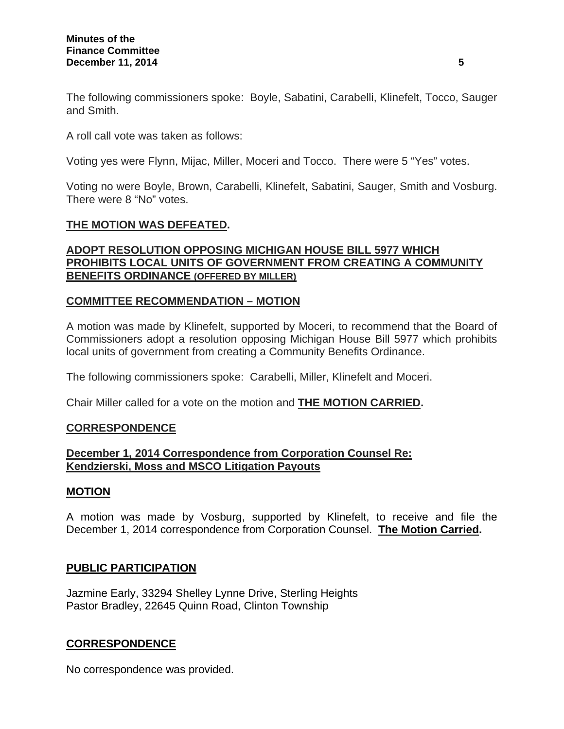The following commissioners spoke: Boyle, Sabatini, Carabelli, Klinefelt, Tocco, Sauger and Smith.

A roll call vote was taken as follows:

Voting yes were Flynn, Mijac, Miller, Moceri and Tocco. There were 5 "Yes" votes.

Voting no were Boyle, Brown, Carabelli, Klinefelt, Sabatini, Sauger, Smith and Vosburg. There were 8 "No" votes.

# **THE MOTION WAS DEFEATED.**

# **ADOPT RESOLUTION OPPOSING MICHIGAN HOUSE BILL 5977 WHICH PROHIBITS LOCAL UNITS OF GOVERNMENT FROM CREATING A COMMUNITY BENEFITS ORDINANCE (OFFERED BY MILLER)**

# **COMMITTEE RECOMMENDATION – MOTION**

A motion was made by Klinefelt, supported by Moceri, to recommend that the Board of Commissioners adopt a resolution opposing Michigan House Bill 5977 which prohibits local units of government from creating a Community Benefits Ordinance.

The following commissioners spoke: Carabelli, Miller, Klinefelt and Moceri.

Chair Miller called for a vote on the motion and **THE MOTION CARRIED.** 

# **CORRESPONDENCE**

# **December 1, 2014 Correspondence from Corporation Counsel Re: Kendzierski, Moss and MSCO Litigation Payouts**

# **MOTION**

A motion was made by Vosburg, supported by Klinefelt, to receive and file the December 1, 2014 correspondence from Corporation Counsel. **The Motion Carried.** 

# **PUBLIC PARTICIPATION**

Jazmine Early, 33294 Shelley Lynne Drive, Sterling Heights Pastor Bradley, 22645 Quinn Road, Clinton Township

# **CORRESPONDENCE**

No correspondence was provided.